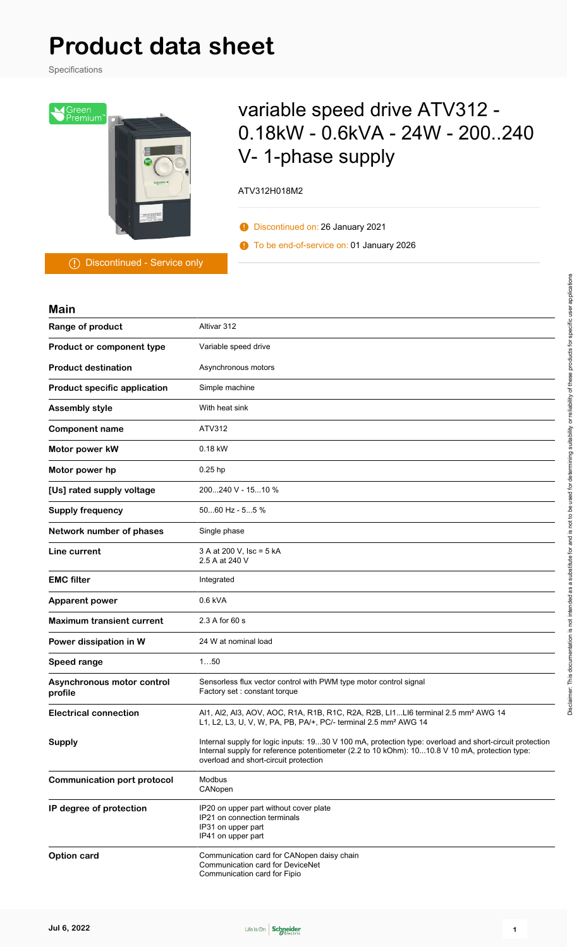# **Product data sheet**

Specifications



# variable speed drive ATV312 - 0.18kW - 0.6kVA - 24W - 200..240 V- 1-phase supply

ATV312H018M2

Discontinued on: 26 January 2021

To be end-of-service on: 01 January 2026

Discontinued - Service only

| <b>Main</b>                           |                                                                                                                                                                                                                                                    |
|---------------------------------------|----------------------------------------------------------------------------------------------------------------------------------------------------------------------------------------------------------------------------------------------------|
| Range of product                      | Altivar 312                                                                                                                                                                                                                                        |
| Product or component type             | Variable speed drive                                                                                                                                                                                                                               |
| <b>Product destination</b>            | Asynchronous motors                                                                                                                                                                                                                                |
| <b>Product specific application</b>   | Simple machine                                                                                                                                                                                                                                     |
| <b>Assembly style</b>                 | With heat sink                                                                                                                                                                                                                                     |
| <b>Component name</b>                 | ATV312                                                                                                                                                                                                                                             |
| Motor power kW                        | 0.18 kW                                                                                                                                                                                                                                            |
| Motor power hp                        | $0.25$ hp                                                                                                                                                                                                                                          |
| [Us] rated supply voltage             | 200240 V - 1510 %                                                                                                                                                                                                                                  |
| <b>Supply frequency</b>               | $5060$ Hz - $55$ %                                                                                                                                                                                                                                 |
| Network number of phases              | Single phase                                                                                                                                                                                                                                       |
| Line current                          | 3 A at 200 V. Isc = 5 kA<br>2.5 A at 240 V                                                                                                                                                                                                         |
| <b>EMC filter</b>                     | Integrated                                                                                                                                                                                                                                         |
| <b>Apparent power</b>                 | $0.6$ kVA                                                                                                                                                                                                                                          |
| <b>Maximum transient current</b>      | 2.3 A for 60 s                                                                                                                                                                                                                                     |
| Power dissipation in W                | 24 W at nominal load                                                                                                                                                                                                                               |
| Speed range                           | 150                                                                                                                                                                                                                                                |
| Asynchronous motor control<br>profile | Sensorless flux vector control with PWM type motor control signal<br>Factory set: constant torque                                                                                                                                                  |
| <b>Electrical connection</b>          | Al1, Al2, Al3, AOV, AOC, R1A, R1B, R1C, R2A, R2B, Ll1Ll6 terminal 2.5 mm <sup>2</sup> AWG 14<br>L1, L2, L3, U, V, W, PA, PB, PA/+, PC/- terminal 2.5 mm <sup>2</sup> AWG 14                                                                        |
| <b>Supply</b>                         | Internal supply for logic inputs: 1930 V 100 mA, protection type: overload and short-circuit protection<br>Internal supply for reference potentiometer (2.2 to 10 kOhm): 1010.8 V 10 mA, protection type:<br>overload and short-circuit protection |
| <b>Communication port protocol</b>    | Modbus<br>CANopen                                                                                                                                                                                                                                  |
| IP degree of protection               | IP20 on upper part without cover plate<br>IP21 on connection terminals<br>IP31 on upper part<br>IP41 on upper part                                                                                                                                 |
| <b>Option card</b>                    | Communication card for CANopen daisy chain<br>Communication card for DeviceNet<br>Communication card for Fipio                                                                                                                                     |

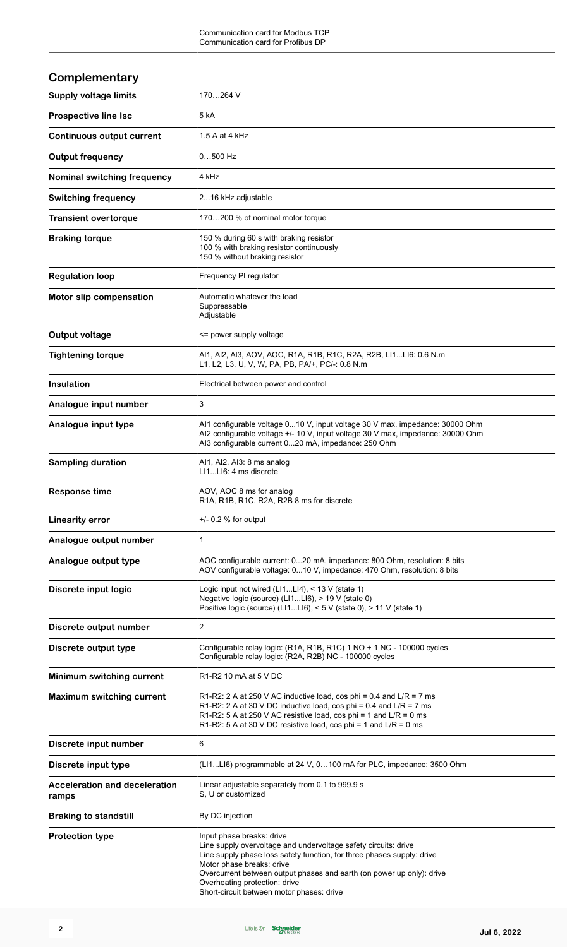| Complementary                                 |                                                                                                                                                                                                                                                                                                               |
|-----------------------------------------------|---------------------------------------------------------------------------------------------------------------------------------------------------------------------------------------------------------------------------------------------------------------------------------------------------------------|
| <b>Supply voltage limits</b>                  | 170264 V                                                                                                                                                                                                                                                                                                      |
| <b>Prospective line Isc</b>                   | 5 kA                                                                                                                                                                                                                                                                                                          |
| <b>Continuous output current</b>              | 1.5 A at 4 kHz                                                                                                                                                                                                                                                                                                |
| <b>Output frequency</b>                       | $0500$ Hz                                                                                                                                                                                                                                                                                                     |
| Nominal switching frequency                   | 4 kHz                                                                                                                                                                                                                                                                                                         |
| <b>Switching frequency</b>                    | 216 kHz adjustable                                                                                                                                                                                                                                                                                            |
| <b>Transient overtorque</b>                   | 170200 % of nominal motor torque                                                                                                                                                                                                                                                                              |
| <b>Braking torque</b>                         | 150 % during 60 s with braking resistor<br>100 % with braking resistor continuously<br>150 % without braking resistor                                                                                                                                                                                         |
| <b>Regulation loop</b>                        | Frequency PI regulator                                                                                                                                                                                                                                                                                        |
| Motor slip compensation                       | Automatic whatever the load<br>Suppressable<br>Adjustable                                                                                                                                                                                                                                                     |
| <b>Output voltage</b>                         | <= power supply voltage                                                                                                                                                                                                                                                                                       |
| <b>Tightening torque</b>                      | Al1, Al2, Al3, AOV, AOC, R1A, R1B, R1C, R2A, R2B, LI1LI6: 0.6 N.m<br>L1, L2, L3, U, V, W, PA, PB, PA/+, PC/-: 0.8 N.m                                                                                                                                                                                         |
| <b>Insulation</b>                             | Electrical between power and control                                                                                                                                                                                                                                                                          |
| Analogue input number                         | 3                                                                                                                                                                                                                                                                                                             |
| Analogue input type                           | Al1 configurable voltage 010 V, input voltage 30 V max, impedance: 30000 Ohm<br>Al2 configurable voltage +/- 10 V, input voltage 30 V max, impedance: 30000 Ohm<br>AI3 configurable current 020 mA, impedance: 250 Ohm                                                                                        |
| <b>Sampling duration</b>                      | Al1, Al2, Al3: 8 ms analog<br>LI1LI6: 4 ms discrete                                                                                                                                                                                                                                                           |
| <b>Response time</b>                          | AOV, AOC 8 ms for analog<br>R1A, R1B, R1C, R2A, R2B 8 ms for discrete                                                                                                                                                                                                                                         |
| <b>Linearity error</b>                        | $+/-$ 0.2 % for output                                                                                                                                                                                                                                                                                        |
| Analogue output number                        | $\mathbf{1}$                                                                                                                                                                                                                                                                                                  |
| Analogue output type                          | AOC configurable current: 020 mA, impedance: 800 Ohm, resolution: 8 bits<br>AOV configurable voltage: 010 V, impedance: 470 Ohm, resolution: 8 bits                                                                                                                                                           |
| Discrete input logic                          | Logic input not wired ( $L11L14$ ), < 13 V (state 1)<br>Negative logic (source) (LI1LI6), > 19 V (state 0)<br>Positive logic (source) (L11LI6), < 5 V (state 0), > 11 V (state 1)                                                                                                                             |
| Discrete output number                        | 2                                                                                                                                                                                                                                                                                                             |
| Discrete output type                          | Configurable relay logic: (R1A, R1B, R1C) 1 NO + 1 NC - 100000 cycles<br>Configurable relay logic: (R2A, R2B) NC - 100000 cycles                                                                                                                                                                              |
| Minimum switching current                     | R <sub>1</sub> -R <sub>2</sub> 10 mA at 5 V DC                                                                                                                                                                                                                                                                |
| <b>Maximum switching current</b>              | R1-R2: 2 A at 250 V AC inductive load, cos phi = $0.4$ and L/R = 7 ms<br>R1-R2: 2 A at 30 V DC inductive load, cos phi = 0.4 and $L/R = 7$ ms<br>R1-R2: 5 A at 250 V AC resistive load, cos phi = 1 and $L/R = 0$ ms<br>R1-R2: 5 A at 30 V DC resistive load, cos phi = 1 and $L/R = 0$ ms                    |
| Discrete input number                         | 6                                                                                                                                                                                                                                                                                                             |
| Discrete input type                           | (LI1LI6) programmable at 24 V, 0100 mA for PLC, impedance: 3500 Ohm                                                                                                                                                                                                                                           |
| <b>Acceleration and deceleration</b><br>ramps | Linear adjustable separately from 0.1 to 999.9 s<br>S. U or customized                                                                                                                                                                                                                                        |
| <b>Braking to standstill</b>                  | By DC injection                                                                                                                                                                                                                                                                                               |
| <b>Protection type</b>                        | Input phase breaks: drive<br>Line supply overvoltage and undervoltage safety circuits: drive<br>Line supply phase loss safety function, for three phases supply: drive<br>Motor phase breaks: drive<br>Overcurrent between output phases and earth (on power up only): drive<br>Overheating protection: drive |

Short-circuit between motor phases: drive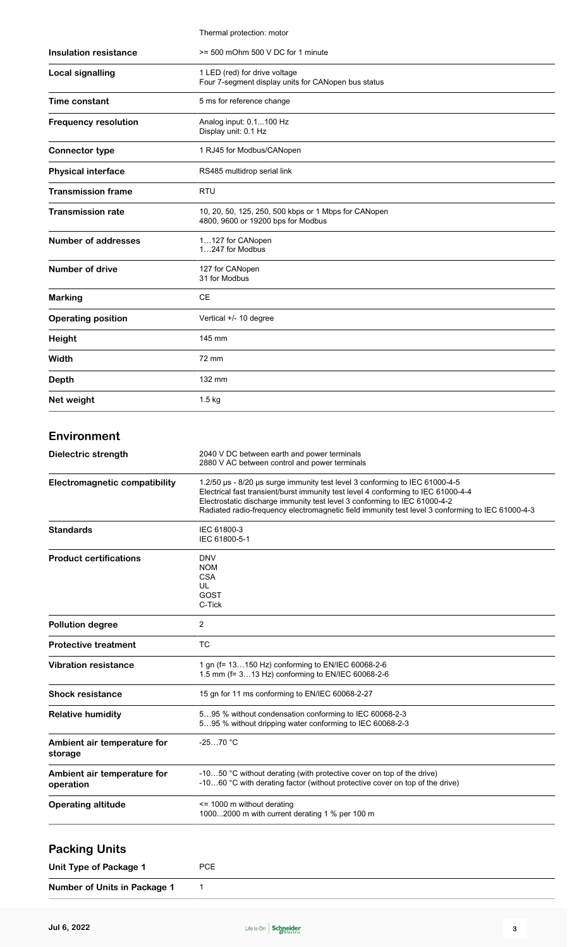|                              | Thermal protection: motor                                                                  |
|------------------------------|--------------------------------------------------------------------------------------------|
| <b>Insulation resistance</b> | $>= 500$ mOhm 500 V DC for 1 minute                                                        |
| <b>Local signalling</b>      | 1 LED (red) for drive voltage<br>Four 7-segment display units for CANopen bus status       |
| Time constant                | 5 ms for reference change                                                                  |
| <b>Frequency resolution</b>  | Analog input: 0.1100 Hz<br>Display unit: 0.1 Hz                                            |
| <b>Connector type</b>        | 1 RJ45 for Modbus/CANopen                                                                  |
| <b>Physical interface</b>    | RS485 multidrop serial link                                                                |
| <b>Transmission frame</b>    | <b>RTU</b>                                                                                 |
| <b>Transmission rate</b>     | 10, 20, 50, 125, 250, 500 kbps or 1 Mbps for CANopen<br>4800, 9600 or 19200 bps for Modbus |
| <b>Number of addresses</b>   | 1127 for CANopen<br>1247 for Modbus                                                        |
| <b>Number of drive</b>       | 127 for CANopen<br>31 for Modbus                                                           |
| <b>Marking</b>               | <b>CE</b>                                                                                  |
| <b>Operating position</b>    | Vertical +/- 10 degree                                                                     |
| Height                       | 145 mm                                                                                     |
| Width                        | 72 mm                                                                                      |
| <b>Depth</b>                 | 132 mm                                                                                     |
| Net weight                   | $1.5$ kg                                                                                   |

## **Environment**

| Dielectric strength                      | 2040 V DC between earth and power terminals<br>2880 V AC between control and power terminals                                                                                                                                                                                                                                                      |
|------------------------------------------|---------------------------------------------------------------------------------------------------------------------------------------------------------------------------------------------------------------------------------------------------------------------------------------------------------------------------------------------------|
| <b>Electromagnetic compatibility</b>     | 1.2/50 µs - 8/20 µs surge immunity test level 3 conforming to IEC 61000-4-5<br>Electrical fast transient/burst immunity test level 4 conforming to IEC 61000-4-4<br>Electrostatic discharge immunity test level 3 conforming to IEC 61000-4-2<br>Radiated radio-frequency electromagnetic field immunity test level 3 conforming to IEC 61000-4-3 |
| <b>Standards</b>                         | IEC 61800-3<br>IEC 61800-5-1                                                                                                                                                                                                                                                                                                                      |
| <b>Product certifications</b>            | <b>DNV</b><br><b>NOM</b><br><b>CSA</b><br>UL<br>GOST<br>C-Tick                                                                                                                                                                                                                                                                                    |
| <b>Pollution degree</b>                  | 2                                                                                                                                                                                                                                                                                                                                                 |
| <b>Protective treatment</b>              | <b>TC</b>                                                                                                                                                                                                                                                                                                                                         |
| <b>Vibration resistance</b>              | 1 gn (f= 13150 Hz) conforming to EN/IEC 60068-2-6<br>1.5 mm (f= 313 Hz) conforming to EN/IEC 60068-2-6                                                                                                                                                                                                                                            |
| <b>Shock resistance</b>                  | 15 gn for 11 ms conforming to EN/IEC 60068-2-27                                                                                                                                                                                                                                                                                                   |
| <b>Relative humidity</b>                 | 595 % without condensation conforming to IEC 60068-2-3<br>595 % without dripping water conforming to IEC 60068-2-3                                                                                                                                                                                                                                |
| Ambient air temperature for<br>storage   | $-2570 °C$                                                                                                                                                                                                                                                                                                                                        |
| Ambient air temperature for<br>operation | -1050 °C without derating (with protective cover on top of the drive)<br>-1060 °C with derating factor (without protective cover on top of the drive)                                                                                                                                                                                             |
| <b>Operating altitude</b>                | $\le$ 1000 m without derating<br>10002000 m with current derating 1 % per 100 m                                                                                                                                                                                                                                                                   |

| <b>Packing Units</b>         |     |
|------------------------------|-----|
| Unit Type of Package 1       | PCE |
| Number of Units in Package 1 |     |